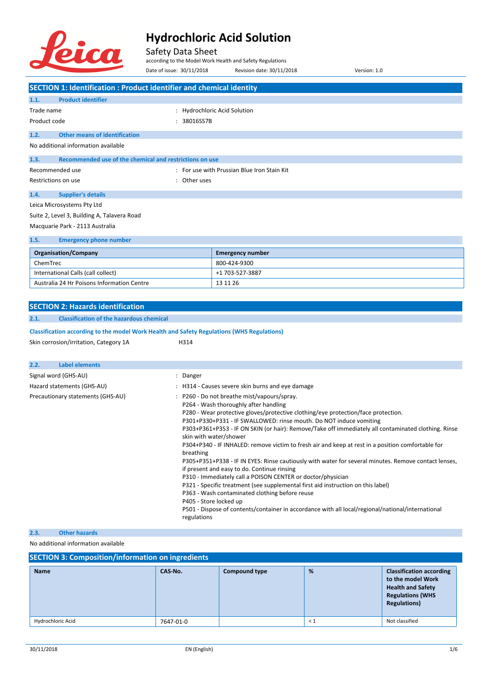

Safety Data Sheet

according to the Model Work Health and Safety Regulations

|                                                                                            | Date of issue: 30/11/2018 | Revision date: 30/11/2018                                                                                                                                                                                                                                                                                                                                                                                                                                                                                                   | Version: 1.0                                                                                                                                                                                                                                                                                                     |
|--------------------------------------------------------------------------------------------|---------------------------|-----------------------------------------------------------------------------------------------------------------------------------------------------------------------------------------------------------------------------------------------------------------------------------------------------------------------------------------------------------------------------------------------------------------------------------------------------------------------------------------------------------------------------|------------------------------------------------------------------------------------------------------------------------------------------------------------------------------------------------------------------------------------------------------------------------------------------------------------------|
| <b>SECTION 1: Identification : Product identifier and chemical identity</b>                |                           |                                                                                                                                                                                                                                                                                                                                                                                                                                                                                                                             |                                                                                                                                                                                                                                                                                                                  |
| <b>Product identifier</b><br>1.1.                                                          |                           |                                                                                                                                                                                                                                                                                                                                                                                                                                                                                                                             |                                                                                                                                                                                                                                                                                                                  |
| Trade name                                                                                 |                           | Hydrochloric Acid Solution                                                                                                                                                                                                                                                                                                                                                                                                                                                                                                  |                                                                                                                                                                                                                                                                                                                  |
| Product code                                                                               | 38016SS7B                 |                                                                                                                                                                                                                                                                                                                                                                                                                                                                                                                             |                                                                                                                                                                                                                                                                                                                  |
| <b>Other means of identification</b><br>1.2.                                               |                           |                                                                                                                                                                                                                                                                                                                                                                                                                                                                                                                             |                                                                                                                                                                                                                                                                                                                  |
| No additional information available                                                        |                           |                                                                                                                                                                                                                                                                                                                                                                                                                                                                                                                             |                                                                                                                                                                                                                                                                                                                  |
| Recommended use of the chemical and restrictions on use<br>1.3.                            |                           |                                                                                                                                                                                                                                                                                                                                                                                                                                                                                                                             |                                                                                                                                                                                                                                                                                                                  |
| Recommended use                                                                            |                           | : For use with Prussian Blue Iron Stain Kit                                                                                                                                                                                                                                                                                                                                                                                                                                                                                 |                                                                                                                                                                                                                                                                                                                  |
| Restrictions on use                                                                        | Other uses                |                                                                                                                                                                                                                                                                                                                                                                                                                                                                                                                             |                                                                                                                                                                                                                                                                                                                  |
| 1.4.<br><b>Supplier's details</b>                                                          |                           |                                                                                                                                                                                                                                                                                                                                                                                                                                                                                                                             |                                                                                                                                                                                                                                                                                                                  |
| Leica Microsystems Pty Ltd                                                                 |                           |                                                                                                                                                                                                                                                                                                                                                                                                                                                                                                                             |                                                                                                                                                                                                                                                                                                                  |
| Suite 2, Level 3, Building A, Talavera Road                                                |                           |                                                                                                                                                                                                                                                                                                                                                                                                                                                                                                                             |                                                                                                                                                                                                                                                                                                                  |
| Macquarie Park - 2113 Australia                                                            |                           |                                                                                                                                                                                                                                                                                                                                                                                                                                                                                                                             |                                                                                                                                                                                                                                                                                                                  |
| 1.5.<br><b>Emergency phone number</b>                                                      |                           |                                                                                                                                                                                                                                                                                                                                                                                                                                                                                                                             |                                                                                                                                                                                                                                                                                                                  |
| <b>Organisation/Company</b>                                                                |                           | <b>Emergency number</b>                                                                                                                                                                                                                                                                                                                                                                                                                                                                                                     |                                                                                                                                                                                                                                                                                                                  |
| ChemTrec                                                                                   |                           | 800-424-9300                                                                                                                                                                                                                                                                                                                                                                                                                                                                                                                |                                                                                                                                                                                                                                                                                                                  |
| International Calls (call collect)                                                         |                           | +1 703-527-3887                                                                                                                                                                                                                                                                                                                                                                                                                                                                                                             |                                                                                                                                                                                                                                                                                                                  |
| Australia 24 Hr Poisons Information Centre                                                 |                           | 13 11 26                                                                                                                                                                                                                                                                                                                                                                                                                                                                                                                    |                                                                                                                                                                                                                                                                                                                  |
|                                                                                            |                           |                                                                                                                                                                                                                                                                                                                                                                                                                                                                                                                             |                                                                                                                                                                                                                                                                                                                  |
| <b>SECTION 2: Hazards identification</b>                                                   |                           |                                                                                                                                                                                                                                                                                                                                                                                                                                                                                                                             |                                                                                                                                                                                                                                                                                                                  |
| <b>Classification of the hazardous chemical</b><br>2.1.                                    |                           |                                                                                                                                                                                                                                                                                                                                                                                                                                                                                                                             |                                                                                                                                                                                                                                                                                                                  |
| Classification according to the model Work Health and Safety Regulations (WHS Regulations) |                           |                                                                                                                                                                                                                                                                                                                                                                                                                                                                                                                             |                                                                                                                                                                                                                                                                                                                  |
| Skin corrosion/irritation, Category 1A                                                     | H314                      |                                                                                                                                                                                                                                                                                                                                                                                                                                                                                                                             |                                                                                                                                                                                                                                                                                                                  |
|                                                                                            |                           |                                                                                                                                                                                                                                                                                                                                                                                                                                                                                                                             |                                                                                                                                                                                                                                                                                                                  |
| <b>Label elements</b><br>2.2.                                                              |                           |                                                                                                                                                                                                                                                                                                                                                                                                                                                                                                                             |                                                                                                                                                                                                                                                                                                                  |
| Signal word (GHS-AU)                                                                       | Danger<br>÷               |                                                                                                                                                                                                                                                                                                                                                                                                                                                                                                                             |                                                                                                                                                                                                                                                                                                                  |
| Hazard statements (GHS-AU)                                                                 |                           | : H314 - Causes severe skin burns and eye damage                                                                                                                                                                                                                                                                                                                                                                                                                                                                            |                                                                                                                                                                                                                                                                                                                  |
| Precautionary statements (GHS-AU)                                                          | breathing                 | P260 - Do not breathe mist/vapours/spray.<br>P264 - Wash thoroughly after handling<br>P280 - Wear protective gloves/protective clothing/eye protection/face protection.<br>P301+P330+P331 - IF SWALLOWED: rinse mouth. Do NOT induce vomiting<br>skin with water/shower<br>if present and easy to do. Continue rinsing<br>P310 - Immediately call a POISON CENTER or doctor/physician<br>P321 - Specific treatment (see supplemental first aid instruction on this label)<br>P363 - Wash contaminated clothing before reuse | P303+P361+P353 - IF ON SKIN (or hair): Remove/Take off immediately all contaminated clothing. Rinse<br>P304+P340 - IF INHALED: remove victim to fresh air and keep at rest in a position comfortable for<br>P305+P351+P338 - IF IN EYES: Rinse cautiously with water for several minutes. Remove contact lenses, |

P405 - Store locked up

P501 - Dispose of contents/container in accordance with all local/regional/national/international regulations

#### **2.3. Other hazards**

No additional information available

| <b>SECTION 3: Composition/information on ingredients</b> |           |                      |          |                                                                                                                                     |  |
|----------------------------------------------------------|-----------|----------------------|----------|-------------------------------------------------------------------------------------------------------------------------------------|--|
| <b>Name</b>                                              | CAS-No.   | <b>Compound type</b> | %        | <b>Classification according</b><br>to the model Work<br><b>Health and Safety</b><br><b>Regulations (WHS</b><br><b>Regulations</b> ) |  |
| Hydrochloric Acid                                        | 7647-01-0 |                      | $\leq 1$ | Not classified                                                                                                                      |  |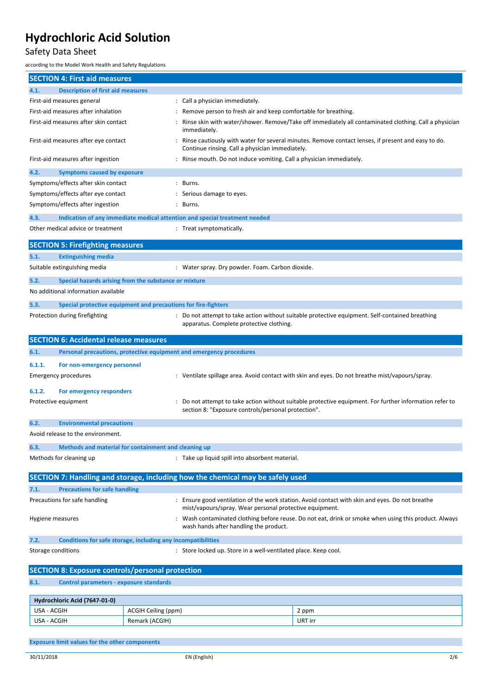### Safety Data Sheet

according to the Model Work Health and Safety Regulations

|                                                                                       | <b>SECTION 4: First aid measures</b>                           |                     |                                                                                |                                                                                                       |
|---------------------------------------------------------------------------------------|----------------------------------------------------------------|---------------------|--------------------------------------------------------------------------------|-------------------------------------------------------------------------------------------------------|
| 4.1.                                                                                  | <b>Description of first aid measures</b>                       |                     |                                                                                |                                                                                                       |
|                                                                                       | First-aid measures general                                     |                     | : Call a physician immediately.                                                |                                                                                                       |
|                                                                                       | First-aid measures after inhalation                            |                     | Remove person to fresh air and keep comfortable for breathing.                 |                                                                                                       |
| First-aid measures after skin contact                                                 |                                                                |                     | immediately.                                                                   | Rinse skin with water/shower. Remove/Take off immediately all contaminated clothing. Call a physician |
|                                                                                       | First-aid measures after eye contact                           |                     | Continue rinsing. Call a physician immediately.                                | Rinse cautiously with water for several minutes. Remove contact lenses, if present and easy to do.    |
|                                                                                       | First-aid measures after ingestion                             |                     | : Rinse mouth. Do not induce vomiting. Call a physician immediately.           |                                                                                                       |
| 4.2.                                                                                  | <b>Symptoms caused by exposure</b>                             |                     |                                                                                |                                                                                                       |
|                                                                                       | Symptoms/effects after skin contact                            |                     | : Burns.                                                                       |                                                                                                       |
|                                                                                       | Symptoms/effects after eye contact                             |                     | : Serious damage to eyes.                                                      |                                                                                                       |
|                                                                                       | Symptoms/effects after ingestion                               |                     | : Burns.                                                                       |                                                                                                       |
| 4.3.                                                                                  |                                                                |                     | Indication of any immediate medical attention and special treatment needed     |                                                                                                       |
|                                                                                       | Other medical advice or treatment                              |                     | : Treat symptomatically.                                                       |                                                                                                       |
|                                                                                       | <b>SECTION 5: Firefighting measures</b>                        |                     |                                                                                |                                                                                                       |
| 5.1.                                                                                  | <b>Extinguishing media</b>                                     |                     |                                                                                |                                                                                                       |
|                                                                                       | Suitable extinguishing media                                   |                     | : Water spray. Dry powder. Foam. Carbon dioxide.                               |                                                                                                       |
| 5.2.                                                                                  | Special hazards arising from the substance or mixture          |                     |                                                                                |                                                                                                       |
|                                                                                       | No additional information available                            |                     |                                                                                |                                                                                                       |
| 5.3.                                                                                  | Special protective equipment and precautions for fire-fighters |                     |                                                                                |                                                                                                       |
|                                                                                       | Protection during firefighting                                 |                     | apparatus. Complete protective clothing.                                       | : Do not attempt to take action without suitable protective equipment. Self-contained breathing       |
|                                                                                       | <b>SECTION 6: Accidental release measures</b>                  |                     |                                                                                |                                                                                                       |
| 6.1.                                                                                  |                                                                |                     | Personal precautions, protective equipment and emergency procedures            |                                                                                                       |
|                                                                                       |                                                                |                     |                                                                                |                                                                                                       |
| 6.1.1.                                                                                | For non-emergency personnel                                    |                     |                                                                                |                                                                                                       |
|                                                                                       | Emergency procedures                                           |                     |                                                                                | : Ventilate spillage area. Avoid contact with skin and eyes. Do not breathe mist/vapours/spray.       |
| 6.1.2.                                                                                | For emergency responders                                       |                     |                                                                                |                                                                                                       |
|                                                                                       | Protective equipment                                           |                     | section 8: "Exposure controls/personal protection".                            | Do not attempt to take action without suitable protective equipment. For further information refer to |
| 6.2.                                                                                  | <b>Environmental precautions</b>                               |                     |                                                                                |                                                                                                       |
|                                                                                       | Avoid release to the environment.                              |                     |                                                                                |                                                                                                       |
| 6.3.                                                                                  | Methods and material for containment and cleaning up           |                     |                                                                                |                                                                                                       |
|                                                                                       | Methods for cleaning up                                        |                     | : Take up liquid spill into absorbent material.                                |                                                                                                       |
|                                                                                       |                                                                |                     |                                                                                |                                                                                                       |
|                                                                                       |                                                                |                     | SECTION 7: Handling and storage, including how the chemical may be safely used |                                                                                                       |
| 7.1.                                                                                  | <b>Precautions for safe handling</b>                           |                     |                                                                                |                                                                                                       |
|                                                                                       | Precautions for safe handling                                  |                     |                                                                                | : Ensure good ventilation of the work station. Avoid contact with skin and eyes. Do not breathe       |
|                                                                                       |                                                                |                     | mist/vapours/spray. Wear personal protective equipment.                        |                                                                                                       |
| Hygiene measures                                                                      |                                                                |                     | wash hands after handling the product.                                         | : Wash contaminated clothing before reuse. Do not eat, drink or smoke when using this product. Always |
| 7.2.                                                                                  | Conditions for safe storage, including any incompatibilities   |                     |                                                                                |                                                                                                       |
| Storage conditions<br>: Store locked up. Store in a well-ventilated place. Keep cool. |                                                                |                     |                                                                                |                                                                                                       |
|                                                                                       | <b>SECTION 8: Exposure controls/personal protection</b>        |                     |                                                                                |                                                                                                       |
| 8.1.                                                                                  | <b>Control parameters - exposure standards</b>                 |                     |                                                                                |                                                                                                       |
|                                                                                       | Hydrochloric Acid (7647-01-0)                                  |                     |                                                                                |                                                                                                       |
| USA - ACGIH                                                                           |                                                                | ACGIH Ceiling (ppm) |                                                                                | 2 ppm                                                                                                 |
| USA - ACGIH<br>Remark (ACGIH)<br>URT irr                                              |                                                                |                     |                                                                                |                                                                                                       |
|                                                                                       |                                                                |                     |                                                                                |                                                                                                       |
|                                                                                       | <b>Exposure limit values for the other components</b>          |                     |                                                                                |                                                                                                       |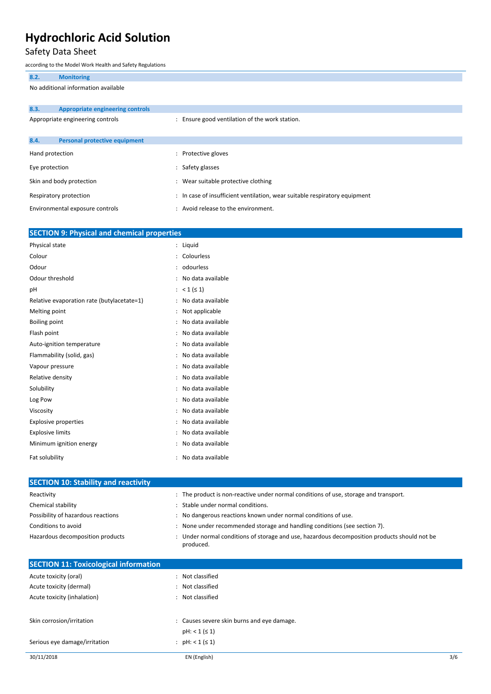### Safety Data Sheet

according to the Model Work Health and Safety Regulations

|                                     | according to the ividuel violin Health and Safety Regulations |                                     |                                                                            |  |  |
|-------------------------------------|---------------------------------------------------------------|-------------------------------------|----------------------------------------------------------------------------|--|--|
| 8.2.                                | <b>Monitoring</b>                                             |                                     |                                                                            |  |  |
| No additional information available |                                                               |                                     |                                                                            |  |  |
|                                     |                                                               |                                     |                                                                            |  |  |
| 8.3.                                | <b>Appropriate engineering controls</b>                       |                                     |                                                                            |  |  |
|                                     | Appropriate engineering controls                              |                                     | : Ensure good ventilation of the work station.                             |  |  |
|                                     |                                                               |                                     |                                                                            |  |  |
| 8.4.                                | <b>Personal protective equipment</b>                          |                                     |                                                                            |  |  |
| Hand protection                     |                                                               | : Protective gloves                 |                                                                            |  |  |
| Eye protection                      |                                                               | : Safety glasses                    |                                                                            |  |  |
|                                     | Skin and body protection                                      | : Wear suitable protective clothing |                                                                            |  |  |
|                                     | Respiratory protection                                        |                                     | : In case of insufficient ventilation, wear suitable respiratory equipment |  |  |
|                                     | Environmental exposure controls                               | : Avoid release to the environment. |                                                                            |  |  |

| <b>SECTION 9: Physical and chemical properties</b> |                |                   |
|----------------------------------------------------|----------------|-------------------|
| Physical state                                     |                | Liquid            |
| Colour                                             | $\ddot{\cdot}$ | Colourless        |
| Odour                                              |                | odourless         |
| Odour threshold                                    |                | No data available |
| рH                                                 |                | $< 1 ( \le 1)$    |
| Relative evaporation rate (butylacetate=1)         |                | No data available |
| Melting point                                      | $\ddot{\cdot}$ | Not applicable    |
| <b>Boiling point</b>                               |                | No data available |
| Flash point                                        |                | No data available |
| Auto-ignition temperature                          |                | No data available |
| Flammability (solid, gas)                          | ÷              | No data available |
| Vapour pressure                                    |                | No data available |
| Relative density                                   |                | No data available |
| Solubility                                         |                | No data available |
| Log Pow                                            |                | No data available |
| Viscosity                                          |                | No data available |
| <b>Explosive properties</b>                        |                | No data available |
| <b>Explosive limits</b>                            |                | No data available |
| Minimum ignition energy                            |                | No data available |
| Fat solubility                                     |                | No data available |

| <b>SECTION 10: Stability and reactivity</b> |                                                                                                           |
|---------------------------------------------|-----------------------------------------------------------------------------------------------------------|
|                                             |                                                                                                           |
| Reactivity                                  | : The product is non-reactive under normal conditions of use, storage and transport.                      |
| Chemical stability                          | Stable under normal conditions.                                                                           |
| Possibility of hazardous reactions          | No dangerous reactions known under normal conditions of use.                                              |
| Conditions to avoid                         | None under recommended storage and handling conditions (see section 7).                                   |
| Hazardous decomposition products            | : Under normal conditions of storage and use, hazardous decomposition products should not be<br>produced. |
|                                             |                                                                                                           |

| <b>SECTION 11: Toxicological information</b> |                                            |     |
|----------------------------------------------|--------------------------------------------|-----|
| Acute toxicity (oral)                        | : Not classified                           |     |
| Acute toxicity (dermal)                      | : Not classified                           |     |
| Acute toxicity (inhalation)                  | : Not classified                           |     |
| Skin corrosion/irritation                    | : Causes severe skin burns and eye damage. |     |
|                                              | $pH: < 1 ( \leq 1)$                        |     |
| Serious eye damage/irritation                | : $pH: < 1 ( \le 1)$                       |     |
| 30/11/2018                                   | EN (English)                               | 3/6 |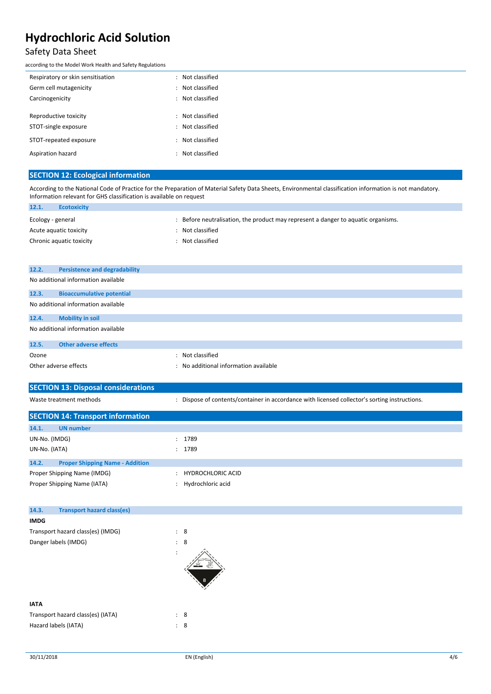### Safety Data Sheet

according to the Model Work Health and Safety Regulations

| Respiratory or skin sensitisation | $\ddot{\phantom{a}}$ | Not classified |
|-----------------------------------|----------------------|----------------|
| Germ cell mutagenicity            | $\ddot{\phantom{a}}$ | Not classified |
| Carcinogenicity                   | $\ddot{\phantom{a}}$ | Not classified |
|                                   |                      |                |
| Reproductive toxicity             | $\ddot{\phantom{a}}$ | Not classified |
| STOT-single exposure              | $\ddot{\phantom{a}}$ | Not classified |
| STOT-repeated exposure            |                      | Not classified |
| Aspiration hazard                 |                      | Not classified |

#### **SECTION 12: Ecological information**

According to the National Code of Practice for the Preparation of Material Safety Data Sheets, Environmental classification information is not mandatory. Information relevant for GHS classification is available on request

| 12.1.             | <b>Ecotoxicity</b>       |                                                                                 |
|-------------------|--------------------------|---------------------------------------------------------------------------------|
| Ecology - general |                          | Before neutralisation, the product may represent a danger to aquatic organisms. |
|                   | Acute aguatic toxicity   | Not classified                                                                  |
|                   | Chronic aquatic toxicity | Not classified                                                                  |
|                   |                          |                                                                                 |

| 12.2. | <b>Persistence and degradability</b> |                                       |
|-------|--------------------------------------|---------------------------------------|
|       | No additional information available  |                                       |
| 12.3. | <b>Bioaccumulative potential</b>     |                                       |
|       | No additional information available  |                                       |
| 12.4. | <b>Mobility in soil</b>              |                                       |
|       | No additional information available  |                                       |
| 12.5. | <b>Other adverse effects</b>         |                                       |
| Ozone |                                      | : Not classified                      |
|       | Other adverse effects                | : No additional information available |

| <b>SECTION 13: Disposal considerations</b> |                                                                                               |
|--------------------------------------------|-----------------------------------------------------------------------------------------------|
| Waste treatment methods                    | : Dispose of contents/container in accordance with licensed collector's sorting instructions. |
|                                            |                                                                                               |

| <b>SECTION 14: Transport information</b>                   |                                               |
|------------------------------------------------------------|-----------------------------------------------|
| 14.1.<br><b>UN</b> number                                  |                                               |
| UN-No. (IMDG)                                              | : 1789                                        |
| UN-No. (IATA)                                              | : 1789                                        |
| 14.2.<br><b>Proper Shipping Name - Addition</b>            |                                               |
| Proper Shipping Name (IMDG)<br>Proper Shipping Name (IATA) | <b>HYDROCHLORIC ACID</b><br>Hydrochloric acid |
|                                                            |                                               |

| 14.3.                             | <b>Transport hazard class(es)</b> |   |                |   |
|-----------------------------------|-----------------------------------|---|----------------|---|
| <b>IMDG</b>                       |                                   |   |                |   |
| Transport hazard class(es) (IMDG) |                                   |   | $\therefore$ 8 |   |
| Danger labels (IMDG)              |                                   |   | $\therefore$ 8 |   |
|                                   |                                   | ÷ |                | 8 |
| <b>IATA</b>                       |                                   |   |                |   |

| Transport hazard class(es) (IATA) | -8 |
|-----------------------------------|----|
| Hazard labels (IATA)              | -8 |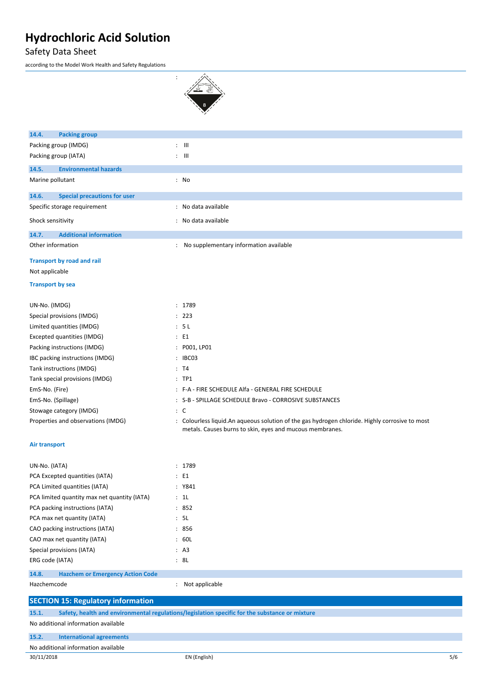Safety Data Sheet

according to the Model Work Health and Safety Regulations

| 14.4.<br><b>Packing group</b>                    |                                                                                                                                                            |     |
|--------------------------------------------------|------------------------------------------------------------------------------------------------------------------------------------------------------------|-----|
| Packing group (IMDG)                             | $\therefore$ $\blacksquare$                                                                                                                                |     |
| Packing group (IATA)                             | $\therefore$ $\Box$                                                                                                                                        |     |
| 14.5.<br><b>Environmental hazards</b>            |                                                                                                                                                            |     |
| Marine pollutant                                 | : No                                                                                                                                                       |     |
| 14.6.<br><b>Special precautions for user</b>     |                                                                                                                                                            |     |
| Specific storage requirement                     | : No data available                                                                                                                                        |     |
| Shock sensitivity                                | : No data available                                                                                                                                        |     |
| 14.7.<br><b>Additional information</b>           |                                                                                                                                                            |     |
| Other information                                | : No supplementary information available                                                                                                                   |     |
| Transport by road and rail                       |                                                                                                                                                            |     |
| Not applicable                                   |                                                                                                                                                            |     |
| <b>Transport by sea</b>                          |                                                                                                                                                            |     |
| UN-No. (IMDG)                                    | : 1789                                                                                                                                                     |     |
| Special provisions (IMDG)                        | : 223                                                                                                                                                      |     |
| Limited quantities (IMDG)                        | : 5L                                                                                                                                                       |     |
| Excepted quantities (IMDG)                       | : E1                                                                                                                                                       |     |
| Packing instructions (IMDG)                      | : P001, LP01                                                                                                                                               |     |
| IBC packing instructions (IMDG)                  | : IBC03                                                                                                                                                    |     |
| Tank instructions (IMDG)                         | : T4                                                                                                                                                       |     |
| Tank special provisions (IMDG)                   | $:$ TP1                                                                                                                                                    |     |
| EmS-No. (Fire)                                   | : F-A - FIRE SCHEDULE Alfa - GENERAL FIRE SCHEDULE                                                                                                         |     |
| EmS-No. (Spillage)                               | : S-B - SPILLAGE SCHEDULE Bravo - CORROSIVE SUBSTANCES                                                                                                     |     |
| Stowage category (IMDG)                          | $\therefore$ C                                                                                                                                             |     |
| Properties and observations (IMDG)               | : Colourless liquid.An aqueous solution of the gas hydrogen chloride. Highly corrosive to most<br>metals. Causes burns to skin, eyes and mucous membranes. |     |
| Air transport                                    |                                                                                                                                                            |     |
| UN-No. (IATA)                                    | : 1789                                                                                                                                                     |     |
| PCA Excepted quantities (IATA)                   | : E1                                                                                                                                                       |     |
| PCA Limited quantities (IATA)                    | : Y841                                                                                                                                                     |     |
| PCA limited quantity max net quantity (IATA)     | : 1L                                                                                                                                                       |     |
| PCA packing instructions (IATA)                  | : 852                                                                                                                                                      |     |
| PCA max net quantity (IATA)                      | : 5L                                                                                                                                                       |     |
| CAO packing instructions (IATA)                  | : 856                                                                                                                                                      |     |
| CAO max net quantity (IATA)                      | : 60L                                                                                                                                                      |     |
| Special provisions (IATA)                        | : A3                                                                                                                                                       |     |
| ERG code (IATA)                                  | : 8L                                                                                                                                                       |     |
| 14.8.<br><b>Hazchem or Emergency Action Code</b> |                                                                                                                                                            |     |
| Hazchemcode                                      | : Not applicable                                                                                                                                           |     |
| <b>SECTION 15: Regulatory information</b>        |                                                                                                                                                            |     |
| 15.1.                                            | Safety, health and environmental regulations/legislation specific for the substance or mixture                                                             |     |
| No additional information available              |                                                                                                                                                            |     |
| 15.2.<br><b>International agreements</b>         |                                                                                                                                                            |     |
| No additional information available              |                                                                                                                                                            |     |
| 30/11/2018                                       | EN (English)                                                                                                                                               | 5/6 |